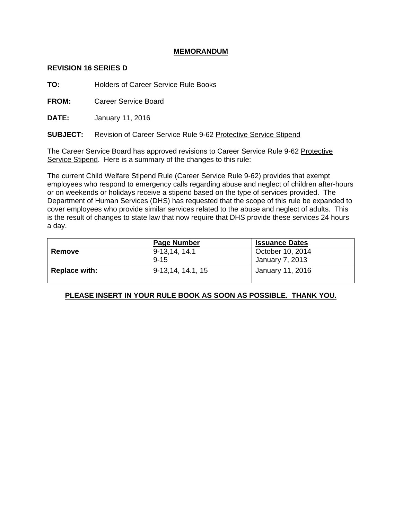# **MEMORANDUM**

#### **REVISION 16 SERIES D**

**TO:** Holders of Career Service Rule Books

**FROM:** Career Service Board

**DATE:** January 11, 2016

**SUBJECT:** Revision of Career Service Rule 9-62 Protective Service Stipend

The Career Service Board has approved revisions to Career Service Rule 9-62 Protective Service Stipend. Here is a summary of the changes to this rule:

The current Child Welfare Stipend Rule (Career Service Rule 9-62) provides that exempt employees who respond to emergency calls regarding abuse and neglect of children after-hours or on weekends or holidays receive a stipend based on the type of services provided. The Department of Human Services (DHS) has requested that the scope of this rule be expanded to cover employees who provide similar services related to the abuse and neglect of adults. This is the result of changes to state law that now require that DHS provide these services 24 hours a day.

|                      | <b>Page Number</b>        | <b>Issuance Dates</b>               |
|----------------------|---------------------------|-------------------------------------|
| Remove               | 9-13,14, 14.1<br>$9 - 15$ | October 10, 2014<br>January 7, 2013 |
| <b>Replace with:</b> | 9-13,14, 14.1, 15         | January 11, 2016                    |

# **PLEASE INSERT IN YOUR RULE BOOK AS SOON AS POSSIBLE. THANK YOU.**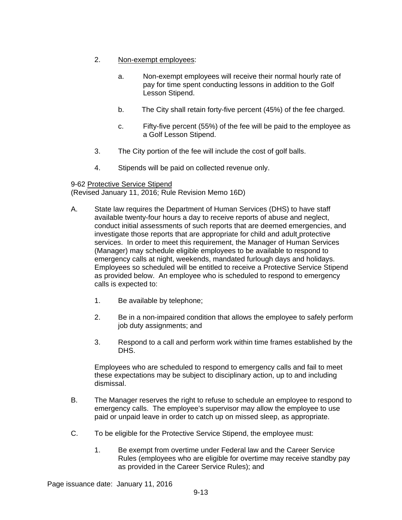- 2. Non-exempt employees:
	- a. Non-exempt employees will receive their normal hourly rate of pay for time spent conducting lessons in addition to the Golf Lesson Stipend.
	- b. The City shall retain forty-five percent (45%) of the fee charged.
	- c. Fifty-five percent (55%) of the fee will be paid to the employee as a Golf Lesson Stipend.
- 3. The City portion of the fee will include the cost of golf balls.
- 4. Stipends will be paid on collected revenue only.

# 9-62 Protective Service Stipend

(Revised January 11, 2016; Rule Revision Memo 16D)

- A. State law requires the Department of Human Services (DHS) to have staff available twenty-four hours a day to receive reports of abuse and neglect, conduct initial assessments of such reports that are deemed emergencies, and investigate those reports that are appropriate for child and adult protective services. In order to meet this requirement, the Manager of Human Services (Manager) may schedule eligible employees to be available to respond to emergency calls at night, weekends, mandated furlough days and holidays. Employees so scheduled will be entitled to receive a Protective Service Stipend as provided below. An employee who is scheduled to respond to emergency calls is expected to:
	- 1. Be available by telephone;
	- 2. Be in a non-impaired condition that allows the employee to safely perform job duty assignments; and
	- 3. Respond to a call and perform work within time frames established by the DHS.

Employees who are scheduled to respond to emergency calls and fail to meet these expectations may be subject to disciplinary action, up to and including dismissal.

- B. The Manager reserves the right to refuse to schedule an employee to respond to emergency calls. The employee's supervisor may allow the employee to use paid or unpaid leave in order to catch up on missed sleep, as appropriate.
- C. To be eligible for the Protective Service Stipend, the employee must:
	- 1. Be exempt from overtime under Federal law and the Career Service Rules (employees who are eligible for overtime may receive standby pay as provided in the Career Service Rules); and

Page issuance date: January 11, 2016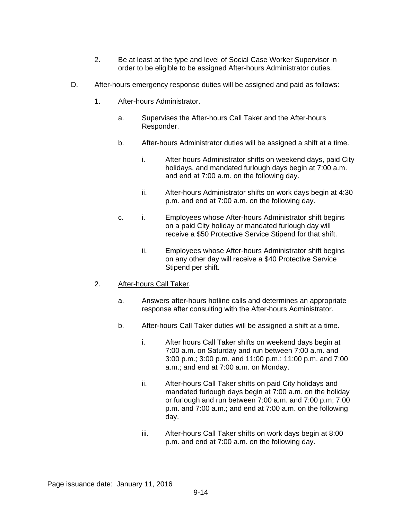- 2. Be at least at the type and level of Social Case Worker Supervisor in order to be eligible to be assigned After-hours Administrator duties.
- D. After-hours emergency response duties will be assigned and paid as follows:
	- 1. After-hours Administrator.
		- a. Supervises the After-hours Call Taker and the After-hours Responder.
		- b. After-hours Administrator duties will be assigned a shift at a time.
			- i. After hours Administrator shifts on weekend days, paid City holidays, and mandated furlough days begin at 7:00 a.m. and end at 7:00 a.m. on the following day.
			- ii. After-hours Administrator shifts on work days begin at 4:30 p.m. and end at 7:00 a.m. on the following day.
		- c. i. Employees whose After-hours Administrator shift begins on a paid City holiday or mandated furlough day will receive a \$50 Protective Service Stipend for that shift.
			- ii. Employees whose After-hours Administrator shift begins on any other day will receive a \$40 Protective Service Stipend per shift.
	- 2. After-hours Call Taker.
		- a. Answers after-hours hotline calls and determines an appropriate response after consulting with the After-hours Administrator.
		- b. After-hours Call Taker duties will be assigned a shift at a time.
			- i. After hours Call Taker shifts on weekend days begin at 7:00 a.m. on Saturday and run between 7:00 a.m. and 3:00 p.m.; 3:00 p.m. and 11:00 p.m.; 11:00 p.m. and 7:00 a.m.; and end at 7:00 a.m. on Monday.
			- ii. After-hours Call Taker shifts on paid City holidays and mandated furlough days begin at 7:00 a.m. on the holiday or furlough and run between 7:00 a.m. and 7:00 p.m; 7:00 p.m. and 7:00 a.m.; and end at 7:00 a.m. on the following day.
			- iii. After-hours Call Taker shifts on work days begin at 8:00 p.m. and end at 7:00 a.m. on the following day.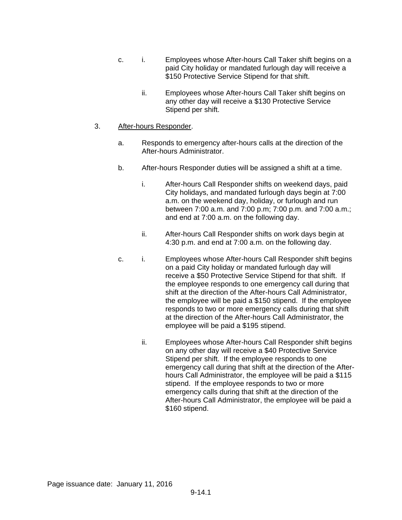- c. i. Employees whose After-hours Call Taker shift begins on a paid City holiday or mandated furlough day will receive a \$150 Protective Service Stipend for that shift.
	- ii. Employees whose After-hours Call Taker shift begins on any other day will receive a \$130 Protective Service Stipend per shift.

### 3. After-hours Responder.

- a. Responds to emergency after-hours calls at the direction of the After-hours Administrator.
- b. After-hours Responder duties will be assigned a shift at a time.
	- i. After-hours Call Responder shifts on weekend days, paid City holidays, and mandated furlough days begin at 7:00 a.m. on the weekend day, holiday, or furlough and run between 7:00 a.m. and 7:00 p.m; 7:00 p.m. and 7:00 a.m.; and end at 7:00 a.m. on the following day.
	- ii. After-hours Call Responder shifts on work days begin at 4:30 p.m. and end at 7:00 a.m. on the following day.
- c. i. Employees whose After-hours Call Responder shift begins on a paid City holiday or mandated furlough day will receive a \$50 Protective Service Stipend for that shift. If the employee responds to one emergency call during that shift at the direction of the After-hours Call Administrator, the employee will be paid a \$150 stipend. If the employee responds to two or more emergency calls during that shift at the direction of the After-hours Call Administrator, the employee will be paid a \$195 stipend.
	- ii. Employees whose After-hours Call Responder shift begins on any other day will receive a \$40 Protective Service Stipend per shift. If the employee responds to one emergency call during that shift at the direction of the Afterhours Call Administrator, the employee will be paid a \$115 stipend. If the employee responds to two or more emergency calls during that shift at the direction of the After-hours Call Administrator, the employee will be paid a \$160 stipend.